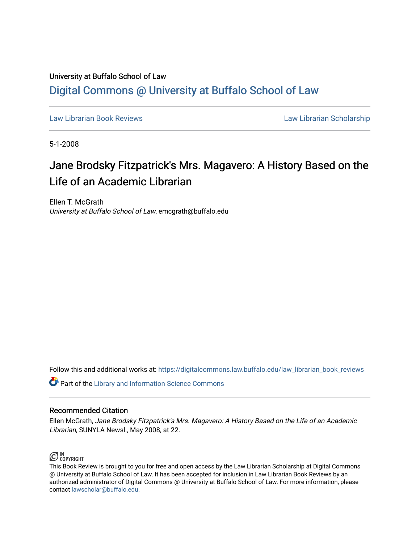## University at Buffalo School of Law [Digital Commons @ University at Buffalo School of Law](https://digitalcommons.law.buffalo.edu/)

[Law Librarian Book Reviews](https://digitalcommons.law.buffalo.edu/law_librarian_book_reviews) Law Librarian Scholarship

5-1-2008

## Jane Brodsky Fitzpatrick's Mrs. Magavero: A History Based on the Life of an Academic Librarian

Ellen T. McGrath University at Buffalo School of Law, emcgrath@buffalo.edu

Follow this and additional works at: [https://digitalcommons.law.buffalo.edu/law\\_librarian\\_book\\_reviews](https://digitalcommons.law.buffalo.edu/law_librarian_book_reviews?utm_source=digitalcommons.law.buffalo.edu%2Flaw_librarian_book_reviews%2F10&utm_medium=PDF&utm_campaign=PDFCoverPages) 

**Part of the Library and Information Science Commons** 

## Recommended Citation

Ellen McGrath, Jane Brodsky Fitzpatrick's Mrs. Magavero: A History Based on the Life of an Academic Librarian, SUNYLA Newsl., May 2008, at 22.



This Book Review is brought to you for free and open access by the Law Librarian Scholarship at Digital Commons @ University at Buffalo School of Law. It has been accepted for inclusion in Law Librarian Book Reviews by an authorized administrator of Digital Commons @ University at Buffalo School of Law. For more information, please contact [lawscholar@buffalo.edu.](mailto:lawscholar@buffalo.edu)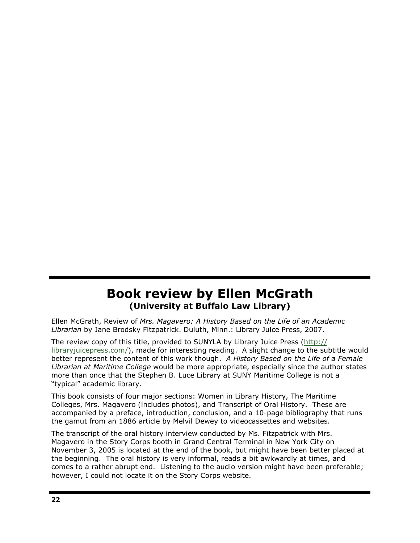## Book review by Ellen McGrath (University at Buffalo Law Library)

 Ellen McGrath, Review of Mrs. Magavero: A History Based on the Life of an Academic Librarian by Jane Brodsky Fitzpatrick. Duluth, Minn.: Library Juice Press, 2007.

The review copy of this title, provided to SUNYLA by Library Juice Press (http:// [libraryjuicepress.com](https://libraryjuicepress.com)/), made for interesting reading. A slight change to the subtitle would better represent the content of this work though. A History Based on the Life of a Female Librarian at Maritime College would be more appropriate, especially since the author states more than once that the Stephen B. Luce Library at SUNY Maritime College is not a "typical" academic library.

 This book consists of four major sections: Women in Library History, The Maritime Colleges, Mrs. Magavero (includes photos), and Transcript of Oral History. These are accompanied by a preface, introduction, conclusion, and a 10-page bibliography that runs the gamut from an 1886 article by Melvil Dewey to videocassettes and websites.

 The transcript of the oral history interview conducted by Ms. Fitzpatrick with Mrs. Magavero in the Story Corps booth in Grand Central Terminal in New York City on November 3, 2005 is located at the end of the book, but might have been better placed at the beginning. The oral history is very informal, reads a bit awkwardly at times, and comes to a rather abrupt end. Listening to the audio version might have been preferable; however, I could not locate it on the Story Corps website.